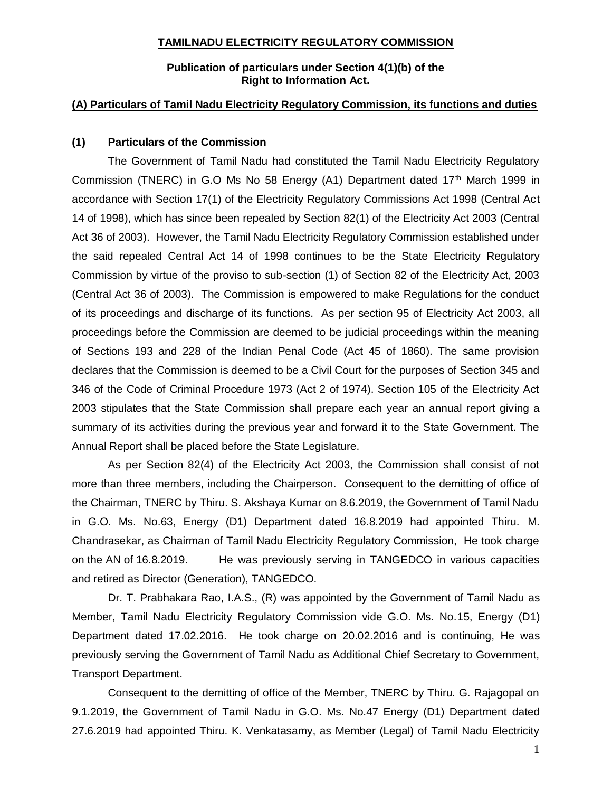#### **TAMILNADU ELECTRICITY REGULATORY COMMISSION**

## **Publication of particulars under Section 4(1)(b) of the Right to Information Act.**

## **(A) Particulars of Tamil Nadu Electricity Regulatory Commission, its functions and duties**

#### **(1) Particulars of the Commission**

The Government of Tamil Nadu had constituted the Tamil Nadu Electricity Regulatory Commission (TNERC) in G.O Ms No 58 Energy (A1) Department dated  $17<sup>th</sup>$  March 1999 in accordance with Section 17(1) of the Electricity Regulatory Commissions Act 1998 (Central Act 14 of 1998), which has since been repealed by Section 82(1) of the Electricity Act 2003 (Central Act 36 of 2003). However, the Tamil Nadu Electricity Regulatory Commission established under the said repealed Central Act 14 of 1998 continues to be the State Electricity Regulatory Commission by virtue of the proviso to sub-section (1) of Section 82 of the Electricity Act, 2003 (Central Act 36 of 2003). The Commission is empowered to make Regulations for the conduct of its proceedings and discharge of its functions. As per section 95 of Electricity Act 2003, all proceedings before the Commission are deemed to be judicial proceedings within the meaning of Sections 193 and 228 of the Indian Penal Code (Act 45 of 1860). The same provision declares that the Commission is deemed to be a Civil Court for the purposes of Section 345 and 346 of the Code of Criminal Procedure 1973 (Act 2 of 1974). Section 105 of the Electricity Act 2003 stipulates that the State Commission shall prepare each year an annual report giving a summary of its activities during the previous year and forward it to the State Government. The Annual Report shall be placed before the State Legislature.

As per Section 82(4) of the Electricity Act 2003, the Commission shall consist of not more than three members, including the Chairperson. Consequent to the demitting of office of the Chairman, TNERC by Thiru. S. Akshaya Kumar on 8.6.2019, the Government of Tamil Nadu in G.O. Ms. No.63, Energy (D1) Department dated 16.8.2019 had appointed Thiru. M. Chandrasekar, as Chairman of Tamil Nadu Electricity Regulatory Commission, He took charge on the AN of 16.8.2019. He was previously serving in TANGEDCO in various capacities and retired as Director (Generation), TANGEDCO.

Dr. T. Prabhakara Rao, I.A.S., (R) was appointed by the Government of Tamil Nadu as Member, Tamil Nadu Electricity Regulatory Commission vide G.O. Ms. No.15, Energy (D1) Department dated 17.02.2016. He took charge on 20.02.2016 and is continuing, He was previously serving the Government of Tamil Nadu as Additional Chief Secretary to Government, Transport Department.

Consequent to the demitting of office of the Member, TNERC by Thiru. G. Rajagopal on 9.1.2019, the Government of Tamil Nadu in G.O. Ms. No.47 Energy (D1) Department dated 27.6.2019 had appointed Thiru. K. Venkatasamy, as Member (Legal) of Tamil Nadu Electricity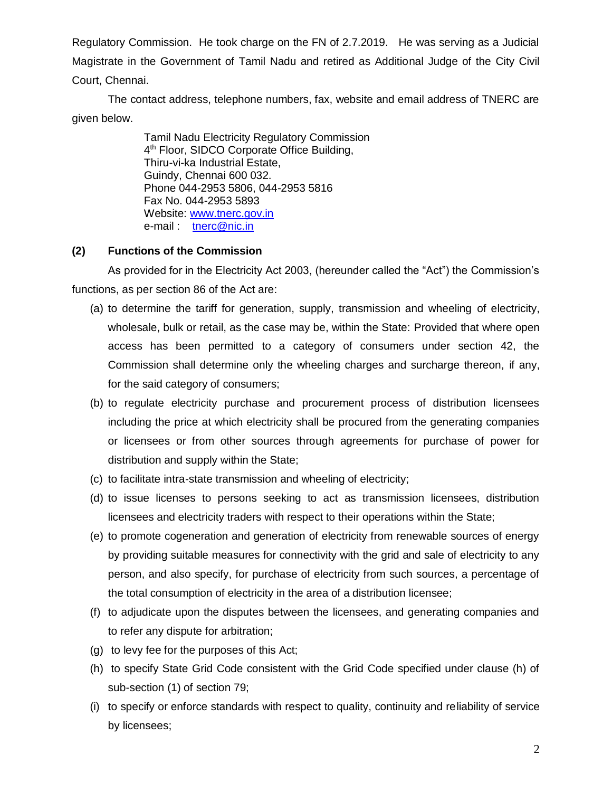Regulatory Commission. He took charge on the FN of 2.7.2019. He was serving as a Judicial Magistrate in the Government of Tamil Nadu and retired as Additional Judge of the City Civil Court, Chennai.

The contact address, telephone numbers, fax, website and email address of TNERC are given below.

> Tamil Nadu Electricity Regulatory Commission 4<sup>th</sup> Floor, SIDCO Corporate Office Building, Thiru-vi-ka Industrial Estate, Guindy, Chennai 600 032. Phone 044-2953 5806, 044-2953 5816 Fax No. 044-2953 5893 Website: [www.tnerc.gov.in](http://www.tnerc.gov.in/)  e-mail : [tnerc@nic.in](mailto:tnerc@nic.in)

## **(2) Functions of the Commission**

As provided for in the Electricity Act 2003, (hereunder called the "Act") the Commission's functions, as per section 86 of the Act are:

- (a) to determine the tariff for generation, supply, transmission and wheeling of electricity, wholesale, bulk or retail, as the case may be, within the State: Provided that where open access has been permitted to a category of consumers under section 42, the Commission shall determine only the wheeling charges and surcharge thereon, if any, for the said category of consumers;
- (b) to regulate electricity purchase and procurement process of distribution licensees including the price at which electricity shall be procured from the generating companies or licensees or from other sources through agreements for purchase of power for distribution and supply within the State;
- (c) to facilitate intra-state transmission and wheeling of electricity;
- (d) to issue licenses to persons seeking to act as transmission licensees, distribution licensees and electricity traders with respect to their operations within the State;
- (e) to promote cogeneration and generation of electricity from renewable sources of energy by providing suitable measures for connectivity with the grid and sale of electricity to any person, and also specify, for purchase of electricity from such sources, a percentage of the total consumption of electricity in the area of a distribution licensee;
- (f) to adjudicate upon the disputes between the licensees, and generating companies and to refer any dispute for arbitration;
- (g) to levy fee for the purposes of this Act;
- (h) to specify State Grid Code consistent with the Grid Code specified under clause (h) of sub-section (1) of section 79;
- (i) to specify or enforce standards with respect to quality, continuity and reliability of service by licensees;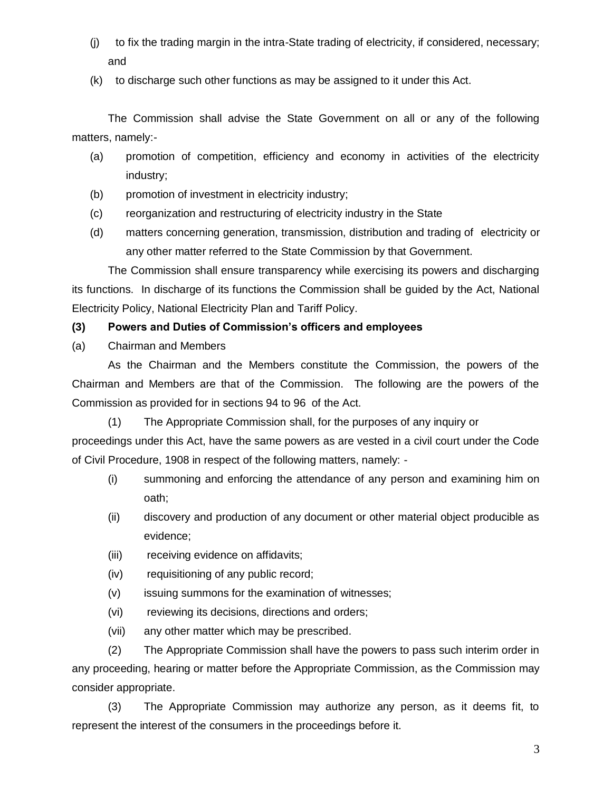- (j) to fix the trading margin in the intra-State trading of electricity, if considered, necessary; and
- (k) to discharge such other functions as may be assigned to it under this Act.

The Commission shall advise the State Government on all or any of the following matters, namely:-

- (a) promotion of competition, efficiency and economy in activities of the electricity industry;
- (b) promotion of investment in electricity industry;
- (c) reorganization and restructuring of electricity industry in the State
- (d) matters concerning generation, transmission, distribution and trading of electricity or any other matter referred to the State Commission by that Government.

The Commission shall ensure transparency while exercising its powers and discharging its functions. In discharge of its functions the Commission shall be guided by the Act, National Electricity Policy, National Electricity Plan and Tariff Policy.

# **(3) Powers and Duties of Commission's officers and employees**

(a) Chairman and Members

As the Chairman and the Members constitute the Commission, the powers of the Chairman and Members are that of the Commission. The following are the powers of the Commission as provided for in sections 94 to 96 of the Act.

(1) The Appropriate Commission shall, for the purposes of any inquiry or

proceedings under this Act, have the same powers as are vested in a civil court under the Code of Civil Procedure, 1908 in respect of the following matters, namely: -

- (i) summoning and enforcing the attendance of any person and examining him on oath;
- (ii) discovery and production of any document or other material object producible as evidence;
- (iii) receiving evidence on affidavits;
- (iv) requisitioning of any public record;
- (v) issuing summons for the examination of witnesses;
- (vi) reviewing its decisions, directions and orders;
- (vii) any other matter which may be prescribed.

(2) The Appropriate Commission shall have the powers to pass such interim order in any proceeding, hearing or matter before the Appropriate Commission, as the Commission may consider appropriate.

(3) The Appropriate Commission may authorize any person, as it deems fit, to represent the interest of the consumers in the proceedings before it.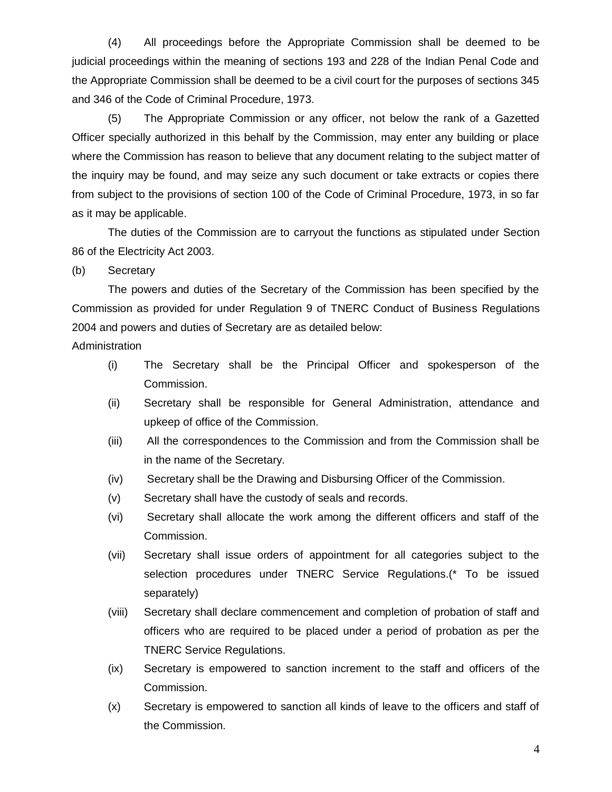(4) All proceedings before the Appropriate Commission shall be deemed to be judicial proceedings within the meaning of sections 193 and 228 of the Indian Penal Code and the Appropriate Commission shall be deemed to be a civil court for the purposes of sections 345 and 346 of the Code of Criminal Procedure, 1973.

(5) The Appropriate Commission or any officer, not below the rank of a Gazetted Officer specially authorized in this behalf by the Commission, may enter any building or place where the Commission has reason to believe that any document relating to the subject matter of the inquiry may be found, and may seize any such document or take extracts or copies there from subject to the provisions of section 100 of the Code of Criminal Procedure, 1973, in so far as it may be applicable.

The duties of the Commission are to carryout the functions as stipulated under Section 86 of the Electricity Act 2003.

(b) Secretary

The powers and duties of the Secretary of the Commission has been specified by the Commission as provided for under Regulation 9 of TNERC Conduct of Business Regulations 2004 and powers and duties of Secretary are as detailed below:

Administration

- (i) The Secretary shall be the Principal Officer and spokesperson of the Commission.
- (ii) Secretary shall be responsible for General Administration, attendance and upkeep of office of the Commission.
- (iii) All the correspondences to the Commission and from the Commission shall be in the name of the Secretary.
- (iv) Secretary shall be the Drawing and Disbursing Officer of the Commission.
- (v) Secretary shall have the custody of seals and records.
- (vi) Secretary shall allocate the work among the different officers and staff of the Commission.
- (vii) Secretary shall issue orders of appointment for all categories subject to the selection procedures under TNERC Service Regulations.(\* To be issued separately)
- (viii) Secretary shall declare commencement and completion of probation of staff and officers who are required to be placed under a period of probation as per the TNERC Service Regulations.
- (ix) Secretary is empowered to sanction increment to the staff and officers of the Commission.
- (x) Secretary is empowered to sanction all kinds of leave to the officers and staff of the Commission.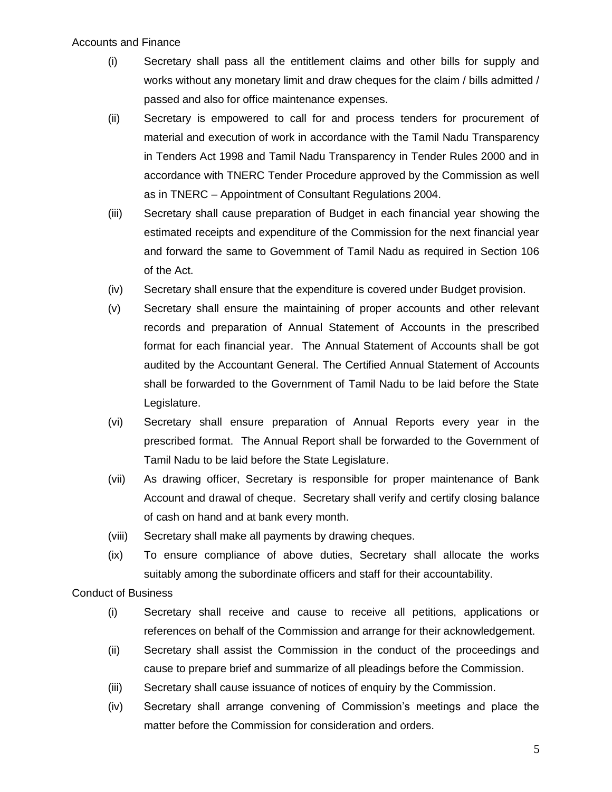#### Accounts and Finance

- (i) Secretary shall pass all the entitlement claims and other bills for supply and works without any monetary limit and draw cheques for the claim / bills admitted / passed and also for office maintenance expenses.
- (ii) Secretary is empowered to call for and process tenders for procurement of material and execution of work in accordance with the Tamil Nadu Transparency in Tenders Act 1998 and Tamil Nadu Transparency in Tender Rules 2000 and in accordance with TNERC Tender Procedure approved by the Commission as well as in TNERC – Appointment of Consultant Regulations 2004.
- (iii) Secretary shall cause preparation of Budget in each financial year showing the estimated receipts and expenditure of the Commission for the next financial year and forward the same to Government of Tamil Nadu as required in Section 106 of the Act.
- (iv) Secretary shall ensure that the expenditure is covered under Budget provision.
- (v) Secretary shall ensure the maintaining of proper accounts and other relevant records and preparation of Annual Statement of Accounts in the prescribed format for each financial year. The Annual Statement of Accounts shall be got audited by the Accountant General. The Certified Annual Statement of Accounts shall be forwarded to the Government of Tamil Nadu to be laid before the State Legislature.
- (vi) Secretary shall ensure preparation of Annual Reports every year in the prescribed format. The Annual Report shall be forwarded to the Government of Tamil Nadu to be laid before the State Legislature.
- (vii) As drawing officer, Secretary is responsible for proper maintenance of Bank Account and drawal of cheque. Secretary shall verify and certify closing balance of cash on hand and at bank every month.
- (viii) Secretary shall make all payments by drawing cheques.
- (ix) To ensure compliance of above duties, Secretary shall allocate the works suitably among the subordinate officers and staff for their accountability.

Conduct of Business

- (i) Secretary shall receive and cause to receive all petitions, applications or references on behalf of the Commission and arrange for their acknowledgement.
- (ii) Secretary shall assist the Commission in the conduct of the proceedings and cause to prepare brief and summarize of all pleadings before the Commission.
- (iii) Secretary shall cause issuance of notices of enquiry by the Commission.
- (iv) Secretary shall arrange convening of Commission's meetings and place the matter before the Commission for consideration and orders.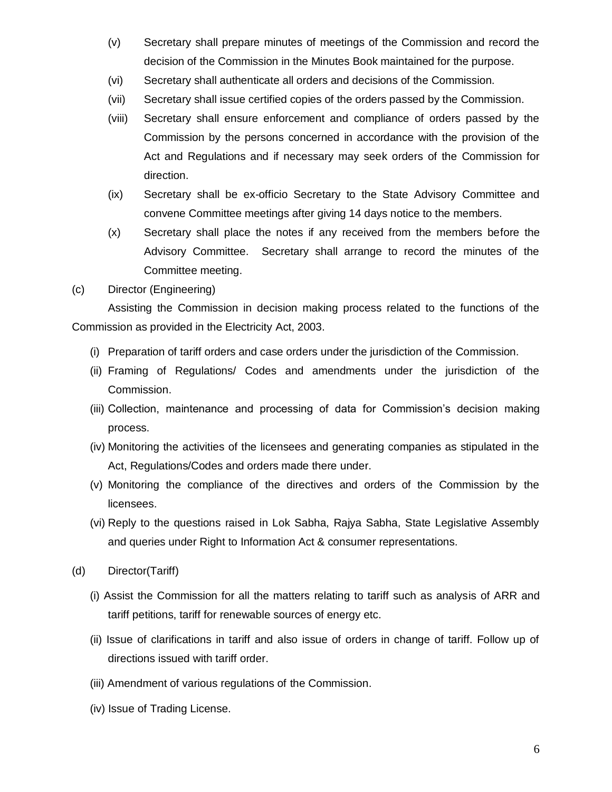- (v) Secretary shall prepare minutes of meetings of the Commission and record the decision of the Commission in the Minutes Book maintained for the purpose.
- (vi) Secretary shall authenticate all orders and decisions of the Commission.
- (vii) Secretary shall issue certified copies of the orders passed by the Commission.
- (viii) Secretary shall ensure enforcement and compliance of orders passed by the Commission by the persons concerned in accordance with the provision of the Act and Regulations and if necessary may seek orders of the Commission for direction.
- (ix) Secretary shall be ex-officio Secretary to the State Advisory Committee and convene Committee meetings after giving 14 days notice to the members.
- (x) Secretary shall place the notes if any received from the members before the Advisory Committee. Secretary shall arrange to record the minutes of the Committee meeting.
- (c) Director (Engineering)

Assisting the Commission in decision making process related to the functions of the Commission as provided in the Electricity Act, 2003.

- (i) Preparation of tariff orders and case orders under the jurisdiction of the Commission.
- (ii) Framing of Regulations/ Codes and amendments under the jurisdiction of the Commission.
- (iii) Collection, maintenance and processing of data for Commission's decision making process.
- (iv) Monitoring the activities of the licensees and generating companies as stipulated in the Act, Regulations/Codes and orders made there under.
- (v) Monitoring the compliance of the directives and orders of the Commission by the licensees.
- (vi) Reply to the questions raised in Lok Sabha, Rajya Sabha, State Legislative Assembly and queries under Right to Information Act & consumer representations.
- (d) Director(Tariff)
	- (i) Assist the Commission for all the matters relating to tariff such as analysis of ARR and tariff petitions, tariff for renewable sources of energy etc.
	- (ii) Issue of clarifications in tariff and also issue of orders in change of tariff. Follow up of directions issued with tariff order.
	- (iii) Amendment of various regulations of the Commission.
	- (iv) Issue of Trading License.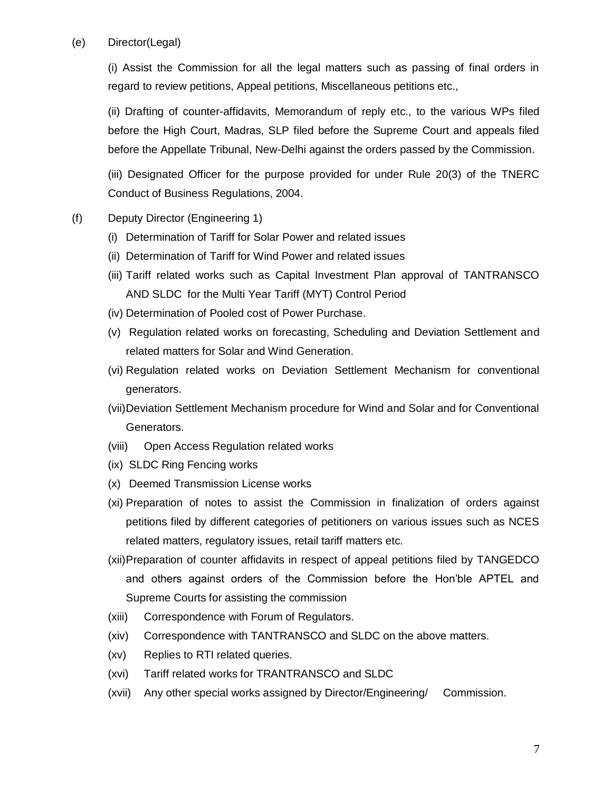## (e) Director(Legal)

(i) Assist the Commission for all the legal matters such as passing of final orders in regard to review petitions, Appeal petitions, Miscellaneous petitions etc.,

(ii) Drafting of counter-affidavits, Memorandum of reply etc., to the various WPs filed before the High Court, Madras, SLP filed before the Supreme Court and appeals filed before the Appellate Tribunal, New-Delhi against the orders passed by the Commission.

(iii) Designated Officer for the purpose provided for under Rule 20(3) of the TNERC Conduct of Business Regulations, 2004.

- (f) Deputy Director (Engineering 1)
	- (i) Determination of Tariff for Solar Power and related issues
	- (ii) Determination of Tariff for Wind Power and related issues
	- (iii) Tariff related works such as Capital Investment Plan approval of TANTRANSCO AND SLDC for the Multi Year Tariff (MYT) Control Period
	- (iv) Determination of Pooled cost of Power Purchase.
	- (v) Regulation related works on forecasting, Scheduling and Deviation Settlement and related matters for Solar and Wind Generation.
	- (vi) Regulation related works on Deviation Settlement Mechanism for conventional generators.
	- (vii)Deviation Settlement Mechanism procedure for Wind and Solar and for Conventional Generators.
	- (viii) Open Access Regulation related works
	- (ix) SLDC Ring Fencing works
	- (x) Deemed Transmission License works
	- (xi) Preparation of notes to assist the Commission in finalization of orders against petitions filed by different categories of petitioners on various issues such as NCES related matters, regulatory issues, retail tariff matters etc.
	- (xii)Preparation of counter affidavits in respect of appeal petitions filed by TANGEDCO and others against orders of the Commission before the Hon'ble APTEL and Supreme Courts for assisting the commission
	- (xiii) Correspondence with Forum of Regulators.
	- (xiv) Correspondence with TANTRANSCO and SLDC on the above matters.
	- (xv) Replies to RTI related queries.
	- (xvi) Tariff related works for TRANTRANSCO and SLDC
	- (xvii) Any other special works assigned by Director/Engineering/ Commission.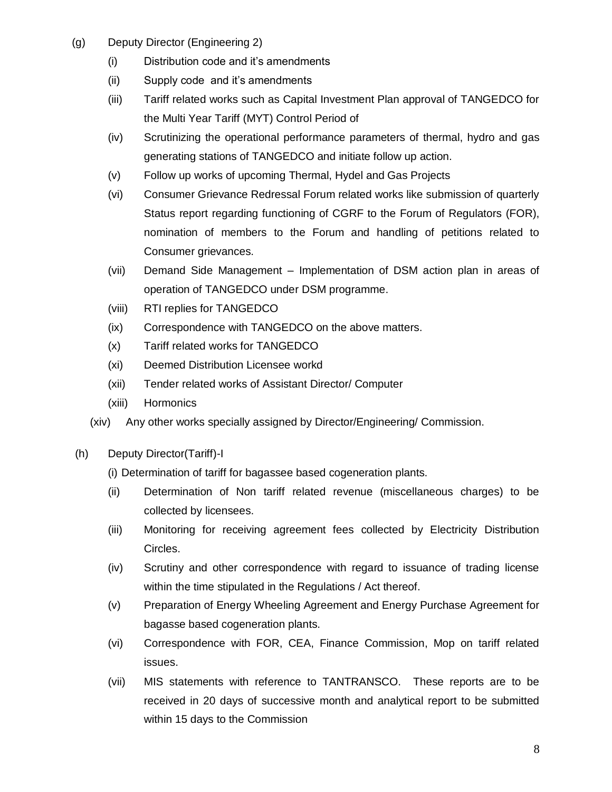- (g) Deputy Director (Engineering 2)
	- (i) Distribution code and it's amendments
	- (ii) Supply code and it's amendments
	- (iii) Tariff related works such as Capital Investment Plan approval of TANGEDCO for the Multi Year Tariff (MYT) Control Period of
	- (iv) Scrutinizing the operational performance parameters of thermal, hydro and gas generating stations of TANGEDCO and initiate follow up action.
	- (v) Follow up works of upcoming Thermal, Hydel and Gas Projects
	- (vi) Consumer Grievance Redressal Forum related works like submission of quarterly Status report regarding functioning of CGRF to the Forum of Regulators (FOR), nomination of members to the Forum and handling of petitions related to Consumer grievances.
	- (vii) Demand Side Management Implementation of DSM action plan in areas of operation of TANGEDCO under DSM programme.
	- (viii) RTI replies for TANGEDCO
	- (ix) Correspondence with TANGEDCO on the above matters.
	- (x) Tariff related works for TANGEDCO
	- (xi) Deemed Distribution Licensee workd
	- (xii) Tender related works of Assistant Director/ Computer
	- (xiii) Hormonics
	- (xiv) Any other works specially assigned by Director/Engineering/ Commission.
- (h) Deputy Director(Tariff)-I
	- (i) Determination of tariff for bagassee based cogeneration plants.
	- (ii) Determination of Non tariff related revenue (miscellaneous charges) to be collected by licensees.
	- (iii) Monitoring for receiving agreement fees collected by Electricity Distribution Circles.
	- (iv) Scrutiny and other correspondence with regard to issuance of trading license within the time stipulated in the Regulations / Act thereof.
	- (v) Preparation of Energy Wheeling Agreement and Energy Purchase Agreement for bagasse based cogeneration plants.
	- (vi) Correspondence with FOR, CEA, Finance Commission, Mop on tariff related issues.
	- (vii) MIS statements with reference to TANTRANSCO. These reports are to be received in 20 days of successive month and analytical report to be submitted within 15 days to the Commission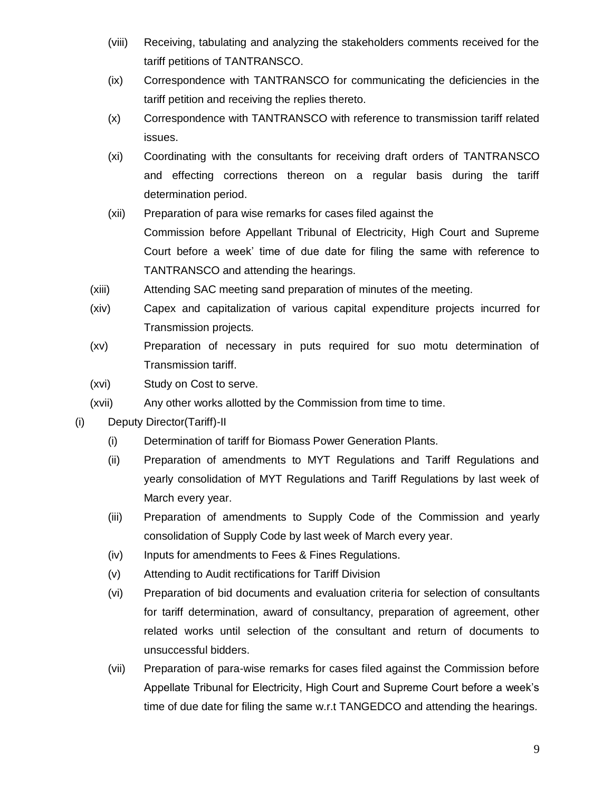- (viii) Receiving, tabulating and analyzing the stakeholders comments received for the tariff petitions of TANTRANSCO.
- (ix) Correspondence with TANTRANSCO for communicating the deficiencies in the tariff petition and receiving the replies thereto.
- (x) Correspondence with TANTRANSCO with reference to transmission tariff related issues.
- (xi) Coordinating with the consultants for receiving draft orders of TANTRANSCO and effecting corrections thereon on a regular basis during the tariff determination period.
- (xii) Preparation of para wise remarks for cases filed against the Commission before Appellant Tribunal of Electricity, High Court and Supreme Court before a week' time of due date for filing the same with reference to TANTRANSCO and attending the hearings.
- (xiii) Attending SAC meeting sand preparation of minutes of the meeting.
- (xiv) Capex and capitalization of various capital expenditure projects incurred for Transmission projects.
- (xv) Preparation of necessary in puts required for suo motu determination of Transmission tariff.
- (xvi) Study on Cost to serve.
- (xvii) Any other works allotted by the Commission from time to time.
- (i) Deputy Director(Tariff)-II
	- (i) Determination of tariff for Biomass Power Generation Plants.
	- (ii) Preparation of amendments to MYT Regulations and Tariff Regulations and yearly consolidation of MYT Regulations and Tariff Regulations by last week of March every year.
	- (iii) Preparation of amendments to Supply Code of the Commission and yearly consolidation of Supply Code by last week of March every year.
	- (iv) Inputs for amendments to Fees & Fines Regulations.
	- (v) Attending to Audit rectifications for Tariff Division
	- (vi) Preparation of bid documents and evaluation criteria for selection of consultants for tariff determination, award of consultancy, preparation of agreement, other related works until selection of the consultant and return of documents to unsuccessful bidders.
	- (vii) Preparation of para-wise remarks for cases filed against the Commission before Appellate Tribunal for Electricity, High Court and Supreme Court before a week's time of due date for filing the same w.r.t TANGEDCO and attending the hearings.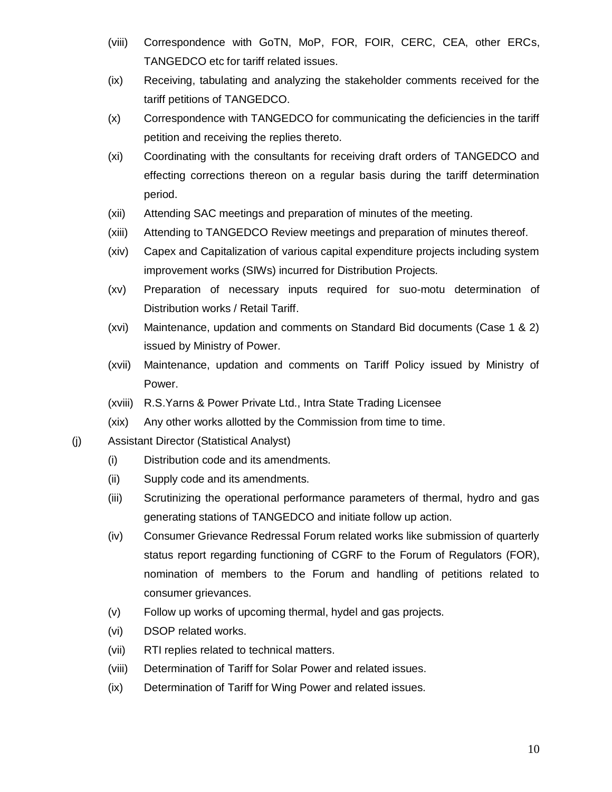- (viii) Correspondence with GoTN, MoP, FOR, FOIR, CERC, CEA, other ERCs, TANGEDCO etc for tariff related issues.
- (ix) Receiving, tabulating and analyzing the stakeholder comments received for the tariff petitions of TANGEDCO.
- (x) Correspondence with TANGEDCO for communicating the deficiencies in the tariff petition and receiving the replies thereto.
- (xi) Coordinating with the consultants for receiving draft orders of TANGEDCO and effecting corrections thereon on a regular basis during the tariff determination period.
- (xii) Attending SAC meetings and preparation of minutes of the meeting.
- (xiii) Attending to TANGEDCO Review meetings and preparation of minutes thereof.
- (xiv) Capex and Capitalization of various capital expenditure projects including system improvement works (SIWs) incurred for Distribution Projects.
- (xv) Preparation of necessary inputs required for suo-motu determination of Distribution works / Retail Tariff.
- (xvi) Maintenance, updation and comments on Standard Bid documents (Case 1 & 2) issued by Ministry of Power.
- (xvii) Maintenance, updation and comments on Tariff Policy issued by Ministry of Power.
- (xviii) R.S.Yarns & Power Private Ltd., Intra State Trading Licensee
- (xix) Any other works allotted by the Commission from time to time.
- (j) Assistant Director (Statistical Analyst)
	- (i) Distribution code and its amendments.
	- (ii) Supply code and its amendments.
	- (iii) Scrutinizing the operational performance parameters of thermal, hydro and gas generating stations of TANGEDCO and initiate follow up action.
	- (iv) Consumer Grievance Redressal Forum related works like submission of quarterly status report regarding functioning of CGRF to the Forum of Regulators (FOR), nomination of members to the Forum and handling of petitions related to consumer grievances.
	- (v) Follow up works of upcoming thermal, hydel and gas projects.
	- (vi) DSOP related works.
	- (vii) RTI replies related to technical matters.
	- (viii) Determination of Tariff for Solar Power and related issues.
	- (ix) Determination of Tariff for Wing Power and related issues.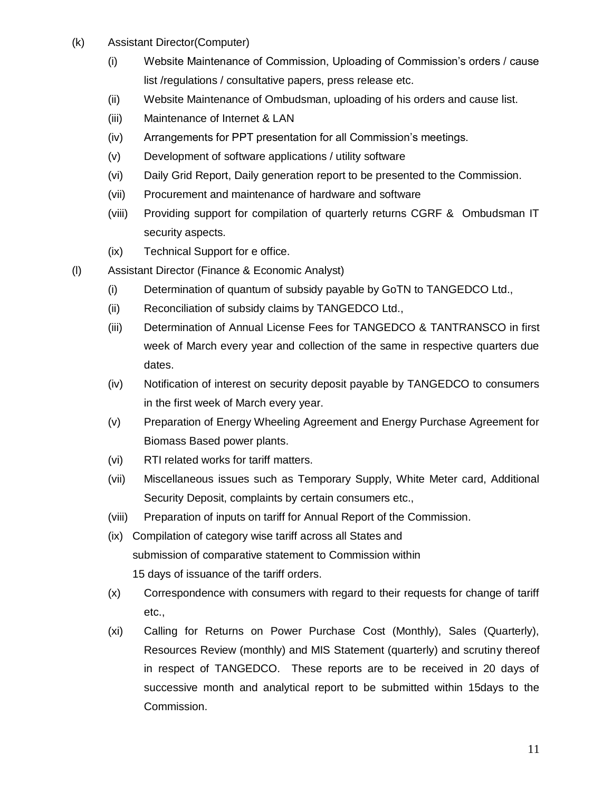- (k) Assistant Director(Computer)
	- (i) Website Maintenance of Commission, Uploading of Commission's orders / cause list /regulations / consultative papers, press release etc.
	- (ii) Website Maintenance of Ombudsman, uploading of his orders and cause list.
	- (iii) Maintenance of Internet & LAN
	- (iv) Arrangements for PPT presentation for all Commission's meetings.
	- (v) Development of software applications / utility software
	- (vi) Daily Grid Report, Daily generation report to be presented to the Commission.
	- (vii) Procurement and maintenance of hardware and software
	- (viii) Providing support for compilation of quarterly returns CGRF & Ombudsman IT security aspects.
	- (ix) Technical Support for e office.
- (l) Assistant Director (Finance & Economic Analyst)
	- (i) Determination of quantum of subsidy payable by GoTN to TANGEDCO Ltd.,
	- (ii) Reconciliation of subsidy claims by TANGEDCO Ltd.,
	- (iii) Determination of Annual License Fees for TANGEDCO & TANTRANSCO in first week of March every year and collection of the same in respective quarters due dates.
	- (iv) Notification of interest on security deposit payable by TANGEDCO to consumers in the first week of March every year.
	- (v) Preparation of Energy Wheeling Agreement and Energy Purchase Agreement for Biomass Based power plants.
	- (vi) RTI related works for tariff matters.
	- (vii) Miscellaneous issues such as Temporary Supply, White Meter card, Additional Security Deposit, complaints by certain consumers etc.,
	- (viii) Preparation of inputs on tariff for Annual Report of the Commission.
	- (ix) Compilation of category wise tariff across all States and submission of comparative statement to Commission within 15 days of issuance of the tariff orders.
	- (x) Correspondence with consumers with regard to their requests for change of tariff etc.,
	- (xi) Calling for Returns on Power Purchase Cost (Monthly), Sales (Quarterly), Resources Review (monthly) and MIS Statement (quarterly) and scrutiny thereof in respect of TANGEDCO. These reports are to be received in 20 days of successive month and analytical report to be submitted within 15days to the Commission.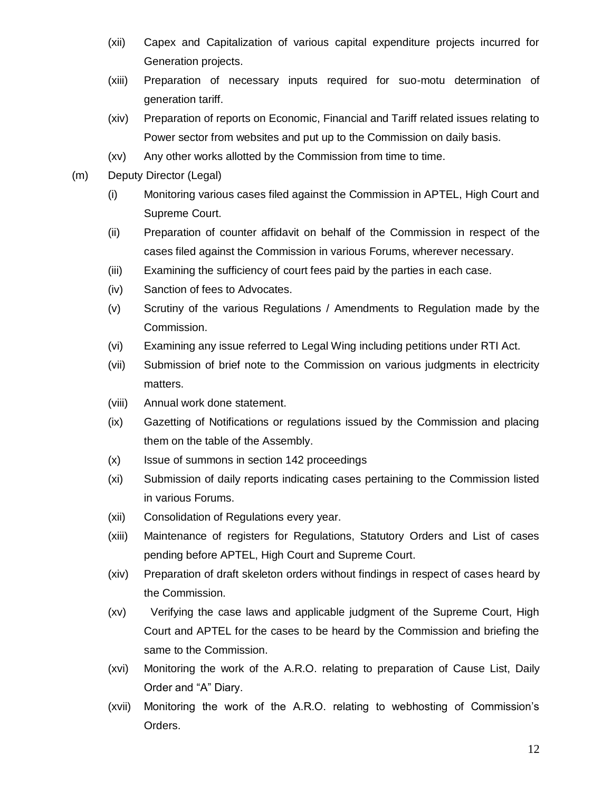- (xii) Capex and Capitalization of various capital expenditure projects incurred for Generation projects.
- (xiii) Preparation of necessary inputs required for suo-motu determination of generation tariff.
- (xiv) Preparation of reports on Economic, Financial and Tariff related issues relating to Power sector from websites and put up to the Commission on daily basis.
- (xv) Any other works allotted by the Commission from time to time.
- (m) Deputy Director (Legal)
	- (i) Monitoring various cases filed against the Commission in APTEL, High Court and Supreme Court.
	- (ii) Preparation of counter affidavit on behalf of the Commission in respect of the cases filed against the Commission in various Forums, wherever necessary.
	- (iii) Examining the sufficiency of court fees paid by the parties in each case.
	- (iv) Sanction of fees to Advocates.
	- (v) Scrutiny of the various Regulations / Amendments to Regulation made by the Commission.
	- (vi) Examining any issue referred to Legal Wing including petitions under RTI Act.
	- (vii) Submission of brief note to the Commission on various judgments in electricity matters.
	- (viii) Annual work done statement.
	- (ix) Gazetting of Notifications or regulations issued by the Commission and placing them on the table of the Assembly.
	- (x) Issue of summons in section 142 proceedings
	- (xi) Submission of daily reports indicating cases pertaining to the Commission listed in various Forums.
	- (xii) Consolidation of Regulations every year.
	- (xiii) Maintenance of registers for Regulations, Statutory Orders and List of cases pending before APTEL, High Court and Supreme Court.
	- (xiv) Preparation of draft skeleton orders without findings in respect of cases heard by the Commission.
	- (xv) Verifying the case laws and applicable judgment of the Supreme Court, High Court and APTEL for the cases to be heard by the Commission and briefing the same to the Commission.
	- (xvi) Monitoring the work of the A.R.O. relating to preparation of Cause List, Daily Order and "A" Diary.
	- (xvii) Monitoring the work of the A.R.O. relating to webhosting of Commission's Orders.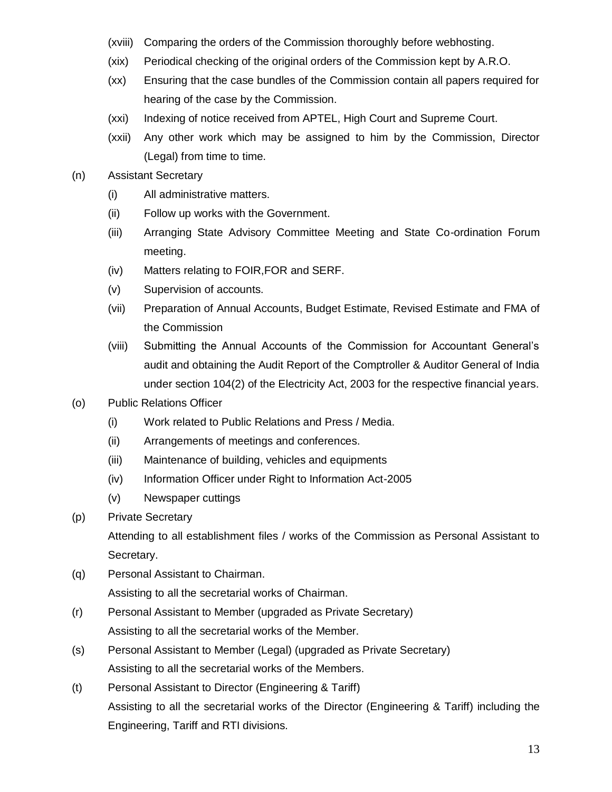- (xviii) Comparing the orders of the Commission thoroughly before webhosting.
- (xix) Periodical checking of the original orders of the Commission kept by A.R.O.
- (xx) Ensuring that the case bundles of the Commission contain all papers required for hearing of the case by the Commission.
- (xxi) Indexing of notice received from APTEL, High Court and Supreme Court.
- (xxii) Any other work which may be assigned to him by the Commission, Director (Legal) from time to time.
- (n) Assistant Secretary
	- (i) All administrative matters.
	- (ii) Follow up works with the Government.
	- (iii) Arranging State Advisory Committee Meeting and State Co-ordination Forum meeting.
	- (iv) Matters relating to FOIR,FOR and SERF.
	- (v) Supervision of accounts.
	- (vii) Preparation of Annual Accounts, Budget Estimate, Revised Estimate and FMA of the Commission
	- (viii) Submitting the Annual Accounts of the Commission for Accountant General's audit and obtaining the Audit Report of the Comptroller & Auditor General of India under section 104(2) of the Electricity Act, 2003 for the respective financial years.
- (o) Public Relations Officer
	- (i) Work related to Public Relations and Press / Media.
	- (ii) Arrangements of meetings and conferences.
	- (iii) Maintenance of building, vehicles and equipments
	- (iv) Information Officer under Right to Information Act-2005
	- (v) Newspaper cuttings
- (p) Private Secretary

Attending to all establishment files / works of the Commission as Personal Assistant to Secretary.

- (q) Personal Assistant to Chairman. Assisting to all the secretarial works of Chairman.
- (r) Personal Assistant to Member (upgraded as Private Secretary) Assisting to all the secretarial works of the Member.
- (s) Personal Assistant to Member (Legal) (upgraded as Private Secretary) Assisting to all the secretarial works of the Members.
- (t) Personal Assistant to Director (Engineering & Tariff) Assisting to all the secretarial works of the Director (Engineering & Tariff) including the Engineering, Tariff and RTI divisions.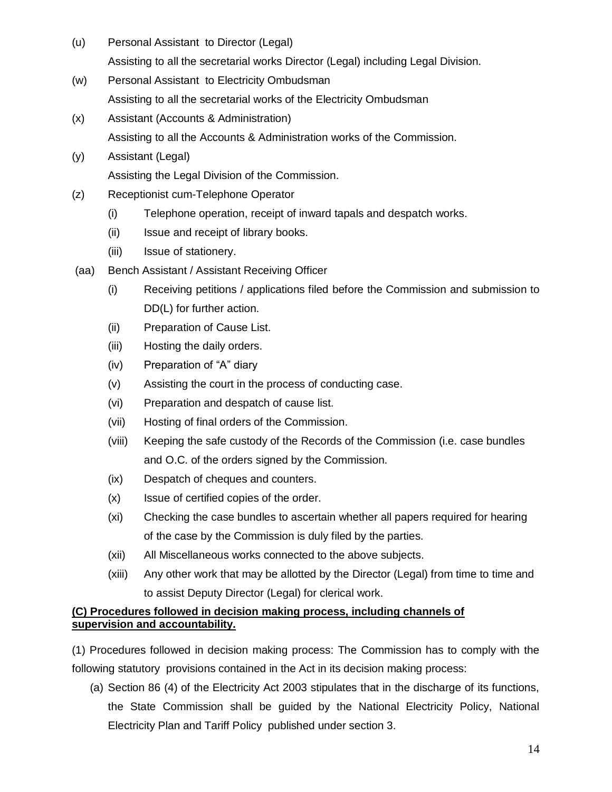- (u) Personal Assistant to Director (Legal) Assisting to all the secretarial works Director (Legal) including Legal Division.
- (w) Personal Assistant to Electricity Ombudsman Assisting to all the secretarial works of the Electricity Ombudsman
- (x) Assistant (Accounts & Administration) Assisting to all the Accounts & Administration works of the Commission.
- (y) Assistant (Legal) Assisting the Legal Division of the Commission.
- (z) Receptionist cum-Telephone Operator
	- (i) Telephone operation, receipt of inward tapals and despatch works.
	- (ii) Issue and receipt of library books.
	- (iii) Issue of stationery.
- (aa) Bench Assistant / Assistant Receiving Officer
	- (i) Receiving petitions / applications filed before the Commission and submission to DD(L) for further action.
	- (ii) Preparation of Cause List.
	- (iii) Hosting the daily orders.
	- (iv) Preparation of "A" diary
	- (v) Assisting the court in the process of conducting case.
	- (vi) Preparation and despatch of cause list.
	- (vii) Hosting of final orders of the Commission.
	- (viii) Keeping the safe custody of the Records of the Commission (i.e. case bundles and O.C. of the orders signed by the Commission.
	- (ix) Despatch of cheques and counters.
	- (x) Issue of certified copies of the order.
	- (xi) Checking the case bundles to ascertain whether all papers required for hearing of the case by the Commission is duly filed by the parties.
	- (xii) All Miscellaneous works connected to the above subjects.
	- (xiii) Any other work that may be allotted by the Director (Legal) from time to time and to assist Deputy Director (Legal) for clerical work.

# **(C) Procedures followed in decision making process, including channels of supervision and accountability.**

(1) Procedures followed in decision making process: The Commission has to comply with the following statutory provisions contained in the Act in its decision making process:

(a) Section 86 (4) of the Electricity Act 2003 stipulates that in the discharge of its functions, the State Commission shall be guided by the National Electricity Policy, National Electricity Plan and Tariff Policy published under section 3.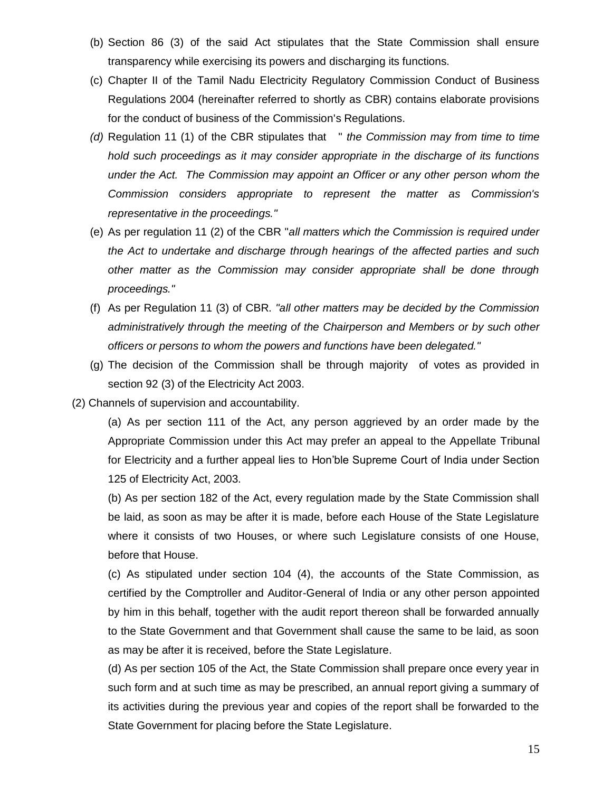- (b) Section 86 (3) of the said Act stipulates that the State Commission shall ensure transparency while exercising its powers and discharging its functions.
- (c) Chapter II of the Tamil Nadu Electricity Regulatory Commission Conduct of Business Regulations 2004 (hereinafter referred to shortly as CBR) contains elaborate provisions for the conduct of business of the Commission's Regulations.
- *(d)* Regulation 11 (1) of the CBR stipulates that " *the Commission may from time to time hold such proceedings as it may consider appropriate in the discharge of its functions under the Act. The Commission may appoint an Officer or any other person whom the Commission considers appropriate to represent the matter as Commission's representative in the proceedings."*
- (e) As per regulation 11 (2) of the CBR "*all matters which the Commission is required under the Act to undertake and discharge through hearings of the affected parties and such other matter as the Commission may consider appropriate shall be done through proceedings."*
- (f) As per Regulation 11 (3) of CBR. *"all other matters may be decided by the Commission administratively through the meeting of the Chairperson and Members or by such other officers or persons to whom the powers and functions have been delegated."*
- (g) The decision of the Commission shall be through majority of votes as provided in section 92 (3) of the Electricity Act 2003.
- (2) Channels of supervision and accountability.

(a) As per section 111 of the Act, any person aggrieved by an order made by the Appropriate Commission under this Act may prefer an appeal to the Appellate Tribunal for Electricity and a further appeal lies to Hon'ble Supreme Court of India under Section 125 of Electricity Act, 2003.

(b) As per section 182 of the Act, every regulation made by the State Commission shall be laid, as soon as may be after it is made, before each House of the State Legislature where it consists of two Houses, or where such Legislature consists of one House, before that House.

(c) As stipulated under section 104 (4), the accounts of the State Commission, as certified by the Comptroller and Auditor-General of India or any other person appointed by him in this behalf, together with the audit report thereon shall be forwarded annually to the State Government and that Government shall cause the same to be laid, as soon as may be after it is received, before the State Legislature.

(d) As per section 105 of the Act, the State Commission shall prepare once every year in such form and at such time as may be prescribed, an annual report giving a summary of its activities during the previous year and copies of the report shall be forwarded to the State Government for placing before the State Legislature.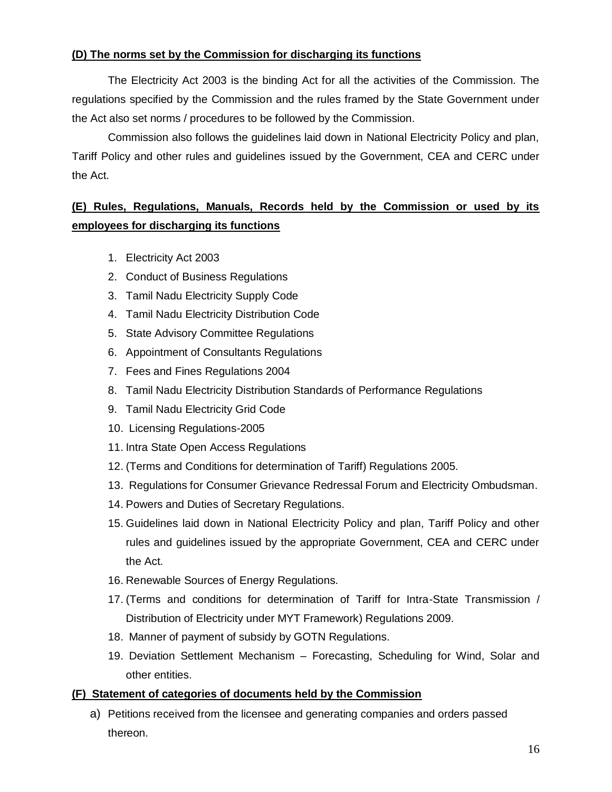# **(D) The norms set by the Commission for discharging its functions**

The Electricity Act 2003 is the binding Act for all the activities of the Commission. The regulations specified by the Commission and the rules framed by the State Government under the Act also set norms / procedures to be followed by the Commission.

Commission also follows the guidelines laid down in National Electricity Policy and plan, Tariff Policy and other rules and guidelines issued by the Government, CEA and CERC under the Act.

# **(E) Rules, Regulations, Manuals, Records held by the Commission or used by its employees for discharging its functions**

- 1. Electricity Act 2003
- 2. Conduct of Business Regulations
- 3. Tamil Nadu Electricity Supply Code
- 4. Tamil Nadu Electricity Distribution Code
- 5. State Advisory Committee Regulations
- 6. Appointment of Consultants Regulations
- 7. Fees and Fines Regulations 2004
- 8. Tamil Nadu Electricity Distribution Standards of Performance Regulations
- 9. Tamil Nadu Electricity Grid Code
- 10. Licensing Regulations-2005
- 11. Intra State Open Access Regulations
- 12. (Terms and Conditions for determination of Tariff) Regulations 2005.
- 13. [Regulations for Consumer Grievance Redressal Forum and Electricity Ombudsman.](http://www.tnerc.gov.in/regulation/Griev2004.pdf)
- 14. Powers and Duties of Secretary Regulations.
- 15. Guidelines laid down in National Electricity Policy and plan, Tariff Policy and other rules and guidelines issued by the appropriate Government, CEA and CERC under the Act.
- 16. Renewable Sources of Energy Regulations.
- 17. (Terms and conditions for determination of Tariff for Intra-State Transmission / Distribution of Electricity under MYT Framework) Regulations 2009.
- 18. Manner of payment of subsidy by GOTN Regulations.
- 19. Deviation Settlement Mechanism Forecasting, Scheduling for Wind, Solar and other entities.

# **(F) Statement of categories of documents held by the Commission**

a) Petitions received from the licensee and generating companies and orders passed thereon.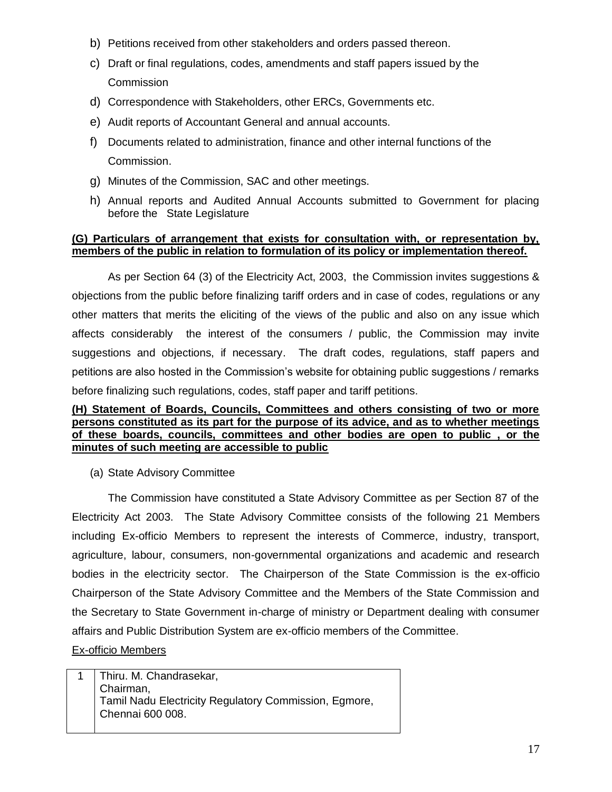- b) Petitions received from other stakeholders and orders passed thereon.
- c) Draft or final regulations, codes, amendments and staff papers issued by the **Commission**
- d) Correspondence with Stakeholders, other ERCs, Governments etc.
- e) Audit reports of Accountant General and annual accounts.
- f) Documents related to administration, finance and other internal functions of the Commission.
- g) Minutes of the Commission, SAC and other meetings.
- h) Annual reports and Audited Annual Accounts submitted to Government for placing before the State Legislature

#### **(G) Particulars of arrangement that exists for consultation with, or representation by, members of the public in relation to formulation of its policy or implementation thereof.**

As per Section 64 (3) of the Electricity Act, 2003, the Commission invites suggestions & objections from the public before finalizing tariff orders and in case of codes, regulations or any other matters that merits the eliciting of the views of the public and also on any issue which affects considerably the interest of the consumers / public, the Commission may invite suggestions and objections, if necessary. The draft codes, regulations, staff papers and petitions are also hosted in the Commission's website for obtaining public suggestions / remarks before finalizing such regulations, codes, staff paper and tariff petitions.

#### **(H) Statement of Boards, Councils, Committees and others consisting of two or more persons constituted as its part for the purpose of its advice, and as to whether meetings of these boards, councils, committees and other bodies are open to public , or the minutes of such meeting are accessible to public**

(a) State Advisory Committee

The Commission have constituted a State Advisory Committee as per Section 87 of the Electricity Act 2003. The State Advisory Committee consists of the following 21 Members including Ex-officio Members to represent the interests of Commerce, industry, transport, agriculture, labour, consumers, non-governmental organizations and academic and research bodies in the electricity sector. The Chairperson of the State Commission is the ex-officio Chairperson of the State Advisory Committee and the Members of the State Commission and the Secretary to State Government in-charge of ministry or Department dealing with consumer affairs and Public Distribution System are ex-officio members of the Committee.

## Ex-officio Members

1 | Thiru. M. Chandrasekar, Chairman, Tamil Nadu Electricity Regulatory Commission, Egmore, Chennai 600 008.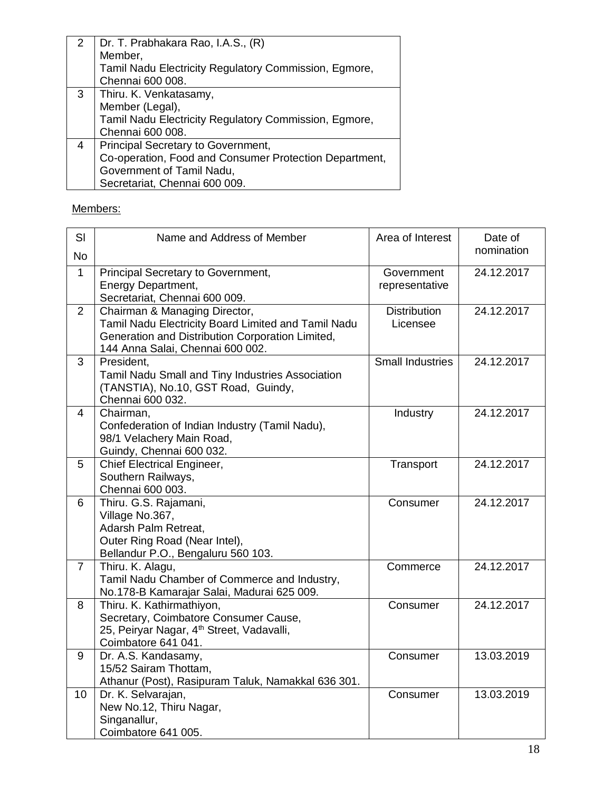|   | Dr. T. Prabhakara Rao, I.A.S., (R)                     |
|---|--------------------------------------------------------|
|   | Member,                                                |
|   | Tamil Nadu Electricity Regulatory Commission, Egmore,  |
|   | Chennai 600 008.                                       |
| 3 | Thiru. K. Venkatasamy,                                 |
|   | Member (Legal),                                        |
|   | Tamil Nadu Electricity Regulatory Commission, Egmore,  |
|   | Chennai 600 008.                                       |
| 4 | Principal Secretary to Government,                     |
|   | Co-operation, Food and Consumer Protection Department, |
|   | Government of Tamil Nadu,                              |
|   | Secretariat, Chennai 600 009.                          |

Members:

| SI             | Name and Address of Member                                                                                                                                                   | Area of Interest                | Date of    |
|----------------|------------------------------------------------------------------------------------------------------------------------------------------------------------------------------|---------------------------------|------------|
| <b>No</b>      |                                                                                                                                                                              |                                 | nomination |
| $\mathbf{1}$   | Principal Secretary to Government,<br>Energy Department,<br>Secretariat, Chennai 600 009.                                                                                    | Government<br>representative    | 24.12.2017 |
| $\overline{2}$ | Chairman & Managing Director,<br>Tamil Nadu Electricity Board Limited and Tamil Nadu<br>Generation and Distribution Corporation Limited,<br>144 Anna Salai, Chennai 600 002. | <b>Distribution</b><br>Licensee | 24.12.2017 |
| 3              | President,<br>Tamil Nadu Small and Tiny Industries Association<br>(TANSTIA), No.10, GST Road, Guindy,<br>Chennai 600 032.                                                    | <b>Small Industries</b>         | 24.12.2017 |
| 4              | Chairman,<br>Confederation of Indian Industry (Tamil Nadu),<br>98/1 Velachery Main Road,<br>Guindy, Chennai 600 032.                                                         | Industry                        | 24.12.2017 |
| 5              | <b>Chief Electrical Engineer,</b><br>Southern Railways,<br>Chennai 600 003.                                                                                                  | Transport                       | 24.12.2017 |
| 6              | Thiru. G.S. Rajamani,<br>Village No.367,<br>Adarsh Palm Retreat,<br>Outer Ring Road (Near Intel),<br>Bellandur P.O., Bengaluru 560 103.                                      | Consumer                        | 24.12.2017 |
| $\overline{7}$ | Thiru. K. Alagu,<br>Tamil Nadu Chamber of Commerce and Industry,<br>No.178-B Kamarajar Salai, Madurai 625 009.                                                               | Commerce                        | 24.12.2017 |
| 8              | Thiru. K. Kathirmathiyon,<br>Secretary, Coimbatore Consumer Cause,<br>25, Peiryar Nagar, 4 <sup>th</sup> Street, Vadavalli,<br>Coimbatore 641 041.                           | Consumer                        | 24.12.2017 |
| 9              | Dr. A.S. Kandasamy,<br>15/52 Sairam Thottam,<br>Athanur (Post), Rasipuram Taluk, Namakkal 636 301.                                                                           | Consumer                        | 13.03.2019 |
| 10             | Dr. K. Selvarajan,<br>New No.12, Thiru Nagar,<br>Singanallur,<br>Coimbatore 641 005.                                                                                         | Consumer                        | 13.03.2019 |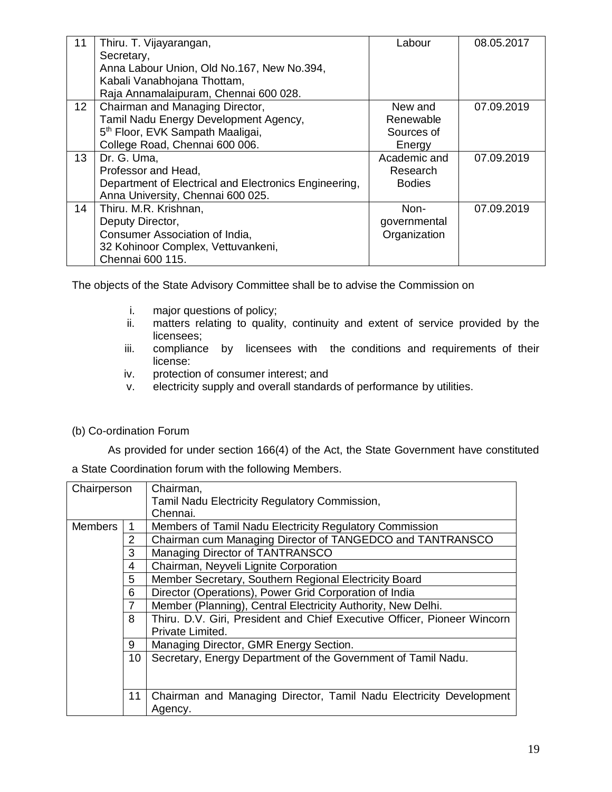| 11              | Thiru. T. Vijayarangan,                               | Labour        | 08.05.2017 |
|-----------------|-------------------------------------------------------|---------------|------------|
|                 | Secretary,                                            |               |            |
|                 | Anna Labour Union, Old No.167, New No.394,            |               |            |
|                 | Kabali Vanabhojana Thottam,                           |               |            |
|                 | Raja Annamalaipuram, Chennai 600 028.                 |               |            |
| 12 <sup>2</sup> | Chairman and Managing Director,                       | New and       | 07.09.2019 |
|                 | Tamil Nadu Energy Development Agency,                 | Renewable     |            |
|                 | 5 <sup>th</sup> Floor, EVK Sampath Maaligai,          | Sources of    |            |
|                 | College Road, Chennai 600 006.                        | Energy        |            |
| 13 <sup>2</sup> | Dr. G. Uma,                                           | Academic and  | 07.09.2019 |
|                 | Professor and Head,                                   | Research      |            |
|                 | Department of Electrical and Electronics Engineering, | <b>Bodies</b> |            |
|                 | Anna University, Chennai 600 025.                     |               |            |
| 14              | Thiru. M.R. Krishnan,                                 | Non-          | 07.09.2019 |
|                 | Deputy Director,                                      | governmental  |            |
|                 | Consumer Association of India,                        | Organization  |            |
|                 | 32 Kohinoor Complex, Vettuvankeni,                    |               |            |
|                 | Chennai 600 115.                                      |               |            |

The objects of the State Advisory Committee shall be to advise the Commission on

- i. major questions of policy;
- ii. matters relating to quality, continuity and extent of service provided by the licensees;
- iii. compliance by licensees with the conditions and requirements of their license:
- iv. protection of consumer interest; and
- v. electricity supply and overall standards of performance by utilities.

## (b) Co-ordination Forum

As provided for under section 166(4) of the Act, the State Government have constituted a State Coordination forum with the following Members.

| Chairperson     |    | Chairman,                                                                |
|-----------------|----|--------------------------------------------------------------------------|
|                 |    | Tamil Nadu Electricity Regulatory Commission,                            |
|                 |    | Chennai.                                                                 |
| <b>Members</b>  |    | Members of Tamil Nadu Electricity Regulatory Commission                  |
|                 | 2  | Chairman cum Managing Director of TANGEDCO and TANTRANSCO                |
|                 | 3  | Managing Director of TANTRANSCO                                          |
|                 | 4  | Chairman, Neyveli Lignite Corporation                                    |
| 5               |    | Member Secretary, Southern Regional Electricity Board                    |
| 6               |    | Director (Operations), Power Grid Corporation of India                   |
|                 |    | Member (Planning), Central Electricity Authority, New Delhi.             |
|                 | 8  | Thiru. D.V. Giri, President and Chief Executive Officer, Pioneer Wincorn |
|                 |    | Private Limited.                                                         |
|                 | 9  | Managing Director, GMR Energy Section.                                   |
| 10 <sup>°</sup> |    | Secretary, Energy Department of the Government of Tamil Nadu.            |
|                 |    |                                                                          |
|                 |    |                                                                          |
|                 | 11 | Chairman and Managing Director, Tamil Nadu Electricity Development       |
|                 |    | Agency.                                                                  |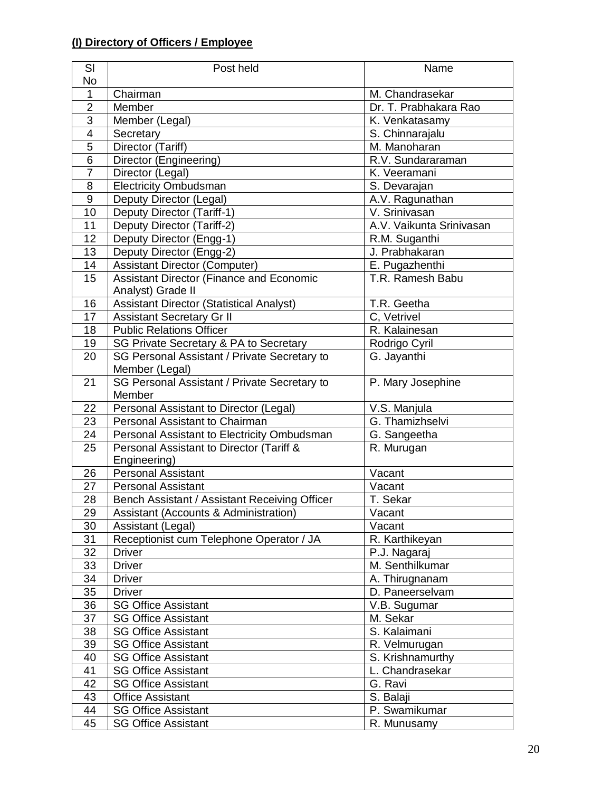# **(I) Directory of Officers / Employee**

| SI              | Post held                                       | Name                     |
|-----------------|-------------------------------------------------|--------------------------|
| No              |                                                 |                          |
| 1               | Chairman                                        | M. Chandrasekar          |
| $\overline{2}$  | Member                                          | Dr. T. Prabhakara Rao    |
| $\overline{3}$  | Member (Legal)                                  | K. Venkatasamy           |
| $\overline{4}$  | Secretary                                       | S. Chinnarajalu          |
| $\overline{5}$  | Director (Tariff)                               | M. Manoharan             |
| 6               | Director (Engineering)                          | R.V. Sundararaman        |
| $\overline{7}$  | Director (Legal)                                | K. Veeramani             |
| 8               | <b>Electricity Ombudsman</b>                    | S. Devarajan             |
| $9\,$           | Deputy Director (Legal)                         | A.V. Ragunathan          |
| 10              | Deputy Director (Tariff-1)                      | V. Srinivasan            |
| 11              | Deputy Director (Tariff-2)                      | A.V. Vaikunta Srinivasan |
| 12              | Deputy Director (Engg-1)                        | R.M. Suganthi            |
| 13              | Deputy Director (Engg-2)                        | J. Prabhakaran           |
| $\overline{14}$ | <b>Assistant Director (Computer)</b>            | E. Pugazhenthi           |
| 15              | Assistant Director (Finance and Economic        | T.R. Ramesh Babu         |
|                 | Analyst) Grade II                               |                          |
| 16              | <b>Assistant Director (Statistical Analyst)</b> | T.R. Geetha              |
| 17              | <b>Assistant Secretary Gr II</b>                | C, Vetrivel              |
| 18              | <b>Public Relations Officer</b>                 | R. Kalainesan            |
| 19              | SG Private Secretary & PA to Secretary          | Rodrigo Cyril            |
| 20              | SG Personal Assistant / Private Secretary to    | G. Jayanthi              |
|                 | Member (Legal)                                  |                          |
| 21              | SG Personal Assistant / Private Secretary to    | P. Mary Josephine        |
|                 | Member                                          |                          |
| 22              | Personal Assistant to Director (Legal)          | V.S. Manjula             |
| 23              | Personal Assistant to Chairman                  | G. Thamizhselvi          |
| 24              | Personal Assistant to Electricity Ombudsman     | G. Sangeetha             |
| 25              | Personal Assistant to Director (Tariff &        | R. Murugan               |
|                 | Engineering)                                    |                          |
| 26              | <b>Personal Assistant</b>                       | Vacant                   |
| 27              | <b>Personal Assistant</b>                       | Vacant                   |
| 28              | Bench Assistant / Assistant Receiving Officer   | T. Sekar                 |
| 29              | Assistant (Accounts & Administration)           | Vacant                   |
| 30              | Assistant (Legal)                               | Vacant                   |
| 31              | Receptionist cum Telephone Operator / JA        | R. Karthikeyan           |
| 32              | <b>Driver</b>                                   | P.J. Nagaraj             |
| 33              | <b>Driver</b>                                   | M. Senthilkumar          |
| 34              | <b>Driver</b>                                   | A. Thirugnanam           |
| 35              | <b>Driver</b>                                   | D. Paneerselvam          |
| 36              | <b>SG Office Assistant</b>                      | V.B. Sugumar             |
| 37              | <b>SG Office Assistant</b>                      | M. Sekar                 |
| 38              | <b>SG Office Assistant</b>                      | S. Kalaimani             |
| 39              | <b>SG Office Assistant</b>                      | R. Velmurugan            |
| 40              | <b>SG Office Assistant</b>                      | S. Krishnamurthy         |
| 41              | <b>SG Office Assistant</b>                      | L. Chandrasekar          |
| 42              | <b>SG Office Assistant</b>                      | G. Ravi                  |
| 43              | <b>Office Assistant</b>                         | S. Balaji                |
| 44              | <b>SG Office Assistant</b>                      | P. Swamikumar            |
| 45              | <b>SG Office Assistant</b>                      | R. Munusamy              |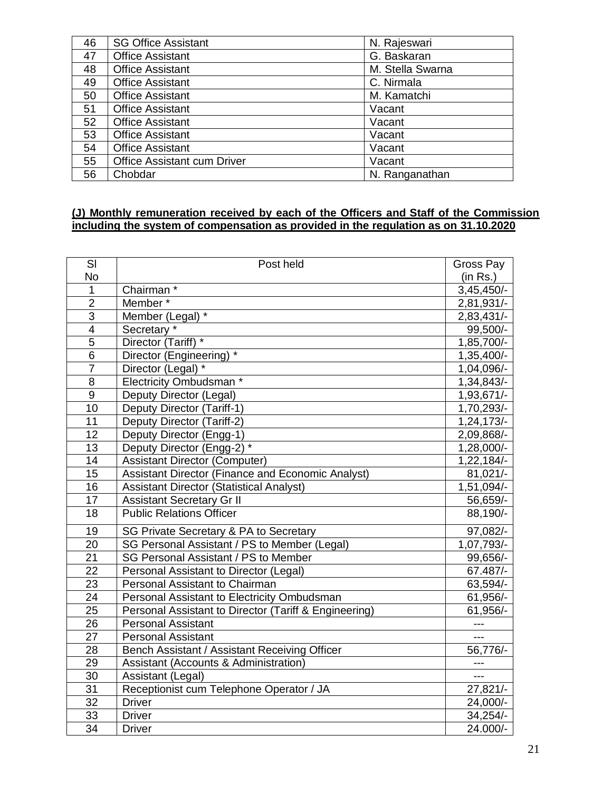| 46 | <b>SG Office Assistant</b>         | N. Rajeswari     |
|----|------------------------------------|------------------|
| 47 | <b>Office Assistant</b>            | G. Baskaran      |
| 48 | <b>Office Assistant</b>            | M. Stella Swarna |
| 49 | <b>Office Assistant</b>            | C. Nirmala       |
| 50 | <b>Office Assistant</b>            | M. Kamatchi      |
| 51 | <b>Office Assistant</b>            | Vacant           |
| 52 | <b>Office Assistant</b>            | Vacant           |
| 53 | <b>Office Assistant</b>            | Vacant           |
| 54 | <b>Office Assistant</b>            | Vacant           |
| 55 | <b>Office Assistant cum Driver</b> | Vacant           |
| 56 | Chobdar                            | N. Ranganathan   |

#### **(J) Monthly remuneration received by each of the Officers and Staff of the Commission including the system of compensation as provided in the regulation as on 31.10.2020**

| SI                      | Post held                                             | Gross Pay    |
|-------------------------|-------------------------------------------------------|--------------|
| No                      |                                                       | (in Rs.)     |
| 1                       | Chairman*                                             | $3,45,450/-$ |
| $\overline{2}$          | Member*                                               | 2,81,931/-   |
| $\overline{3}$          | Member (Legal) *                                      | 2,83,431/-   |
| $\overline{\mathbf{4}}$ | Secretary *                                           | 99,500/-     |
| $\overline{5}$          | Director (Tariff) *                                   | 1,85,700/-   |
| $\overline{6}$          | Director (Engineering) *                              | 1,35,400/-   |
| $\overline{7}$          | Director (Legal) *                                    | 1,04,096/-   |
| 8                       | Electricity Ombudsman *                               | 1,34,843/-   |
| 9                       | Deputy Director (Legal)                               | 1,93,671/-   |
| 10                      | Deputy Director (Tariff-1)                            | 1,70,293/-   |
| 11                      | Deputy Director (Tariff-2)                            | $1,24,173/-$ |
| 12                      | Deputy Director (Engg-1)                              | 2,09,868/-   |
| $\overline{13}$         | Deputy Director (Engg-2) *                            | 1,28,000/-   |
| 14                      | <b>Assistant Director (Computer)</b>                  | 1,22,184/-   |
| 15                      | Assistant Director (Finance and Economic Analyst)     | $81,021/-$   |
| 16                      | <b>Assistant Director (Statistical Analyst)</b>       | 1,51,094/-   |
| 17                      | <b>Assistant Secretary Gr II</b>                      | 56,659/-     |
| 18                      | <b>Public Relations Officer</b>                       | 88,190/-     |
| 19                      | SG Private Secretary & PA to Secretary                | 97,082/-     |
| 20                      | SG Personal Assistant / PS to Member (Legal)          | 1,07,793/-   |
| 21                      | SG Personal Assistant / PS to Member                  | 99,656/-     |
| 22                      | Personal Assistant to Director (Legal)                | 67.487/-     |
| 23                      | Personal Assistant to Chairman                        | 63,594/-     |
| 24                      | Personal Assistant to Electricity Ombudsman           | 61,956/-     |
| 25                      | Personal Assistant to Director (Tariff & Engineering) | 61,956/-     |
| 26                      | <b>Personal Assistant</b>                             | ---          |
| 27                      | <b>Personal Assistant</b>                             | $---$        |
| 28                      | Bench Assistant / Assistant Receiving Officer         | 56,776/-     |
| 29                      | Assistant (Accounts & Administration)                 | ---          |
| 30                      | Assistant (Legal)                                     | $---$        |
| 31                      | Receptionist cum Telephone Operator / JA              | $27,821/-$   |
| 32                      | <b>Driver</b>                                         | 24,000/-     |
| 33                      | <b>Driver</b>                                         | $34,254/$ -  |
| $\overline{34}$         | <b>Driver</b>                                         | 24.000/-     |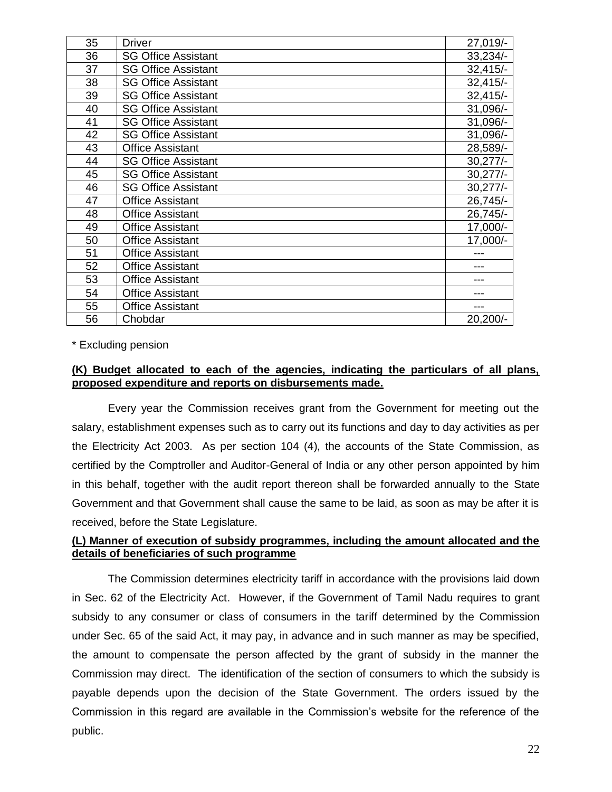| 35 | <b>Driver</b>              | 27,019/-    |
|----|----------------------------|-------------|
| 36 | <b>SG Office Assistant</b> | $33,234/$ - |
| 37 | <b>SG Office Assistant</b> | $32,415/-$  |
| 38 | <b>SG Office Assistant</b> | $32,415/-$  |
| 39 | <b>SG Office Assistant</b> | $32,415/-$  |
| 40 | <b>SG Office Assistant</b> | 31,096/-    |
| 41 | <b>SG Office Assistant</b> | 31,096/-    |
| 42 | <b>SG Office Assistant</b> | 31,096/-    |
| 43 | <b>Office Assistant</b>    | 28,589/-    |
| 44 | <b>SG Office Assistant</b> | $30,277/-$  |
| 45 | <b>SG Office Assistant</b> | $30,277/$ - |
| 46 | <b>SG Office Assistant</b> | $30,277/-$  |
| 47 | <b>Office Assistant</b>    | 26,745/-    |
| 48 | <b>Office Assistant</b>    | 26,745/-    |
| 49 | <b>Office Assistant</b>    | 17,000/-    |
| 50 | <b>Office Assistant</b>    | 17,000/-    |
| 51 | <b>Office Assistant</b>    |             |
| 52 | <b>Office Assistant</b>    |             |
| 53 | <b>Office Assistant</b>    |             |
| 54 | <b>Office Assistant</b>    |             |
| 55 | <b>Office Assistant</b>    | ---         |
| 56 | Chobdar                    | 20,200/-    |

\* Excluding pension

## **(K) Budget allocated to each of the agencies, indicating the particulars of all plans, proposed expenditure and reports on disbursements made.**

Every year the Commission receives grant from the Government for meeting out the salary, establishment expenses such as to carry out its functions and day to day activities as per the Electricity Act 2003. As per section 104 (4), the accounts of the State Commission, as certified by the Comptroller and Auditor-General of India or any other person appointed by him in this behalf, together with the audit report thereon shall be forwarded annually to the State Government and that Government shall cause the same to be laid, as soon as may be after it is received, before the State Legislature.

## **(L) Manner of execution of subsidy programmes, including the amount allocated and the details of beneficiaries of such programme**

The Commission determines electricity tariff in accordance with the provisions laid down in Sec. 62 of the Electricity Act. However, if the Government of Tamil Nadu requires to grant subsidy to any consumer or class of consumers in the tariff determined by the Commission under Sec. 65 of the said Act, it may pay, in advance and in such manner as may be specified, the amount to compensate the person affected by the grant of subsidy in the manner the Commission may direct. The identification of the section of consumers to which the subsidy is payable depends upon the decision of the State Government. The orders issued by the Commission in this regard are available in the Commission's website for the reference of the public.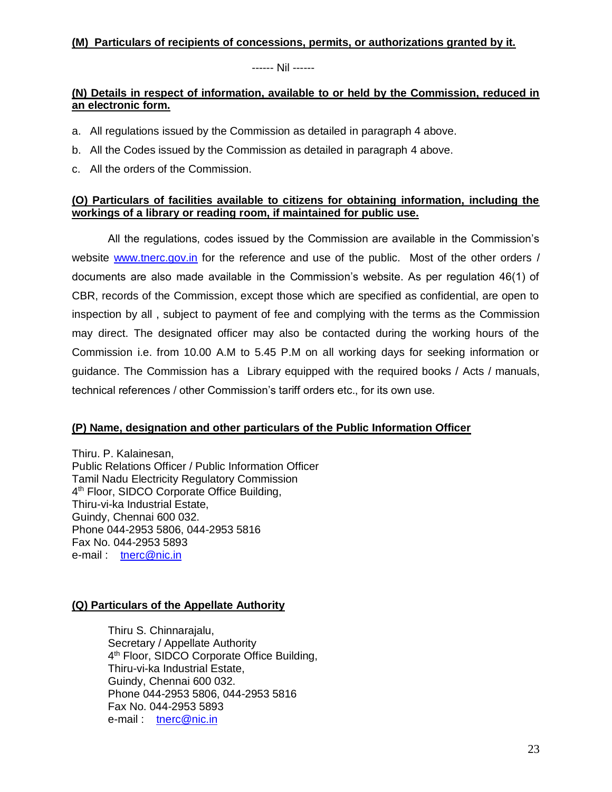## **(M) Particulars of recipients of concessions, permits, or authorizations granted by it.**

------ Nil ------

## **(N) Details in respect of information, available to or held by the Commission, reduced in an electronic form.**

- a. All regulations issued by the Commission as detailed in paragraph 4 above.
- b. All the Codes issued by the Commission as detailed in paragraph 4 above.
- c. All the orders of the Commission.

## **(O) Particulars of facilities available to citizens for obtaining information, including the workings of a library or reading room, if maintained for public use.**

All the regulations, codes issued by the Commission are available in the Commission's website [www.tnerc.gov.in](http://www.tnerc.gov.in/) for the reference and use of the public. Most of the other orders / documents are also made available in the Commission's website. As per regulation 46(1) of CBR, records of the Commission, except those which are specified as confidential, are open to inspection by all , subject to payment of fee and complying with the terms as the Commission may direct. The designated officer may also be contacted during the working hours of the Commission i.e. from 10.00 A.M to 5.45 P.M on all working days for seeking information or guidance. The Commission has a Library equipped with the required books / Acts / manuals, technical references / other Commission's tariff orders etc., for its own use.

# **(P) Name, designation and other particulars of the Public Information Officer**

Thiru. P. Kalainesan, Public Relations Officer / Public Information Officer Tamil Nadu Electricity Regulatory Commission 4<sup>th</sup> Floor, SIDCO Corporate Office Building, Thiru-vi-ka Industrial Estate, Guindy, Chennai 600 032. Phone 044-2953 5806, 044-2953 5816 Fax No. 044-2953 5893 e-mail : [tnerc@nic.in](mailto:tnerc@nic.in) 

# **(Q) Particulars of the Appellate Authority**

Thiru S. Chinnarajalu, Secretary / Appellate Authority 4<sup>th</sup> Floor, SIDCO Corporate Office Building, Thiru-vi-ka Industrial Estate, Guindy, Chennai 600 032. Phone 044-2953 5806, 044-2953 5816 Fax No. 044-2953 5893 e-mail : [tnerc@nic.in](mailto:tnerc@nic.in)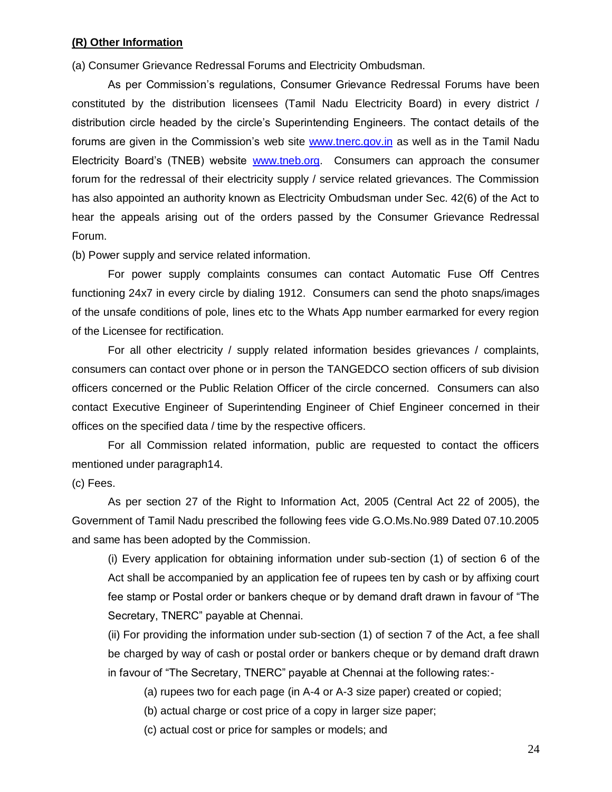#### **(R) Other Information**

(a) Consumer Grievance Redressal Forums and Electricity Ombudsman.

As per Commission's regulations, Consumer Grievance Redressal Forums have been constituted by the distribution licensees (Tamil Nadu Electricity Board) in every district / distribution circle headed by the circle's Superintending Engineers. The contact details of the forums are given in the Commission's web site [www.tnerc.gov.in](http://www.tnerc.gov.in/) as well as in the Tamil Nadu Electricity Board's (TNEB) website [www.tneb.org.](http://www.tnerc.gov.in/download/Secretary/Desktop/ESTABLISHMENT/RODRIGO/Miscellaneous/www.tneb.org) Consumers can approach the consumer forum for the redressal of their electricity supply / service related grievances. The Commission has also appointed an authority known as Electricity Ombudsman under Sec. 42(6) of the Act to hear the appeals arising out of the orders passed by the Consumer Grievance Redressal Forum.

(b) Power supply and service related information.

For power supply complaints consumes can contact Automatic Fuse Off Centres functioning 24x7 in every circle by dialing 1912. Consumers can send the photo snaps/images of the unsafe conditions of pole, lines etc to the Whats App number earmarked for every region of the Licensee for rectification.

For all other electricity / supply related information besides grievances / complaints, consumers can contact over phone or in person the TANGEDCO section officers of sub division officers concerned or the Public Relation Officer of the circle concerned. Consumers can also contact Executive Engineer of Superintending Engineer of Chief Engineer concerned in their offices on the specified data / time by the respective officers.

For all Commission related information, public are requested to contact the officers mentioned under paragraph14.

#### (c) Fees.

As per section 27 of the Right to Information Act, 2005 (Central Act 22 of 2005), the Government of Tamil Nadu prescribed the following fees vide G.O.Ms.No.989 Dated 07.10.2005 and same has been adopted by the Commission.

(i) Every application for obtaining information under sub-section (1) of section 6 of the Act shall be accompanied by an application fee of rupees ten by cash or by affixing court fee stamp or Postal order or bankers cheque or by demand draft drawn in favour of "The Secretary, TNERC" payable at Chennai.

(ii) For providing the information under sub-section (1) of section 7 of the Act, a fee shall be charged by way of cash or postal order or bankers cheque or by demand draft drawn in favour of "The Secretary, TNERC" payable at Chennai at the following rates:-

(a) rupees two for each page (in A-4 or A-3 size paper) created or copied;

(b) actual charge or cost price of a copy in larger size paper;

(c) actual cost or price for samples or models; and